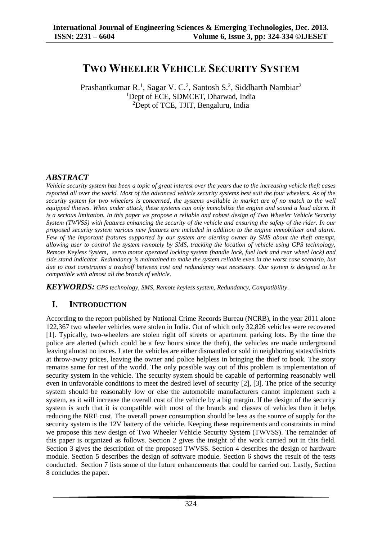# **TWO WHEELER VEHICLE SECURITY SYSTEM**

Prashantkumar R.<sup>1</sup>, Sagar V. C.<sup>2</sup>, Santosh S.<sup>2</sup>, Siddharth Nambiar<sup>2</sup> <sup>1</sup>Dept of ECE, SDMCET, Dharwad, India <sup>2</sup>Dept of TCE, TJIT, Bengaluru, India

### *ABSTRACT*

*Vehicle security system has been a topic of great interest over the years due to the increasing vehicle theft cases reported all over the world. Most of the advanced vehicle security systems best suit the four wheelers. As of the security system for two wheelers is concerned, the systems available in market are of no match to the well equipped thieves. When under attack, these systems can only immobilize the engine and sound a loud alarm. It is a serious limitation. In this paper we propose a reliable and robust design of Two Wheeler Vehicle Security System (TWVSS) with features enhancing the security of the vehicle and ensuring the safety of the rider. In our proposed security system various new features are included in addition to the engine immobilizer and alarm. Few of the important features supported by our system are alerting owner by SMS about the theft attempt, allowing user to control the system remotely by SMS, tracking the location of vehicle using GPS technology, Remote Keyless System, servo motor operated locking system (handle lock, fuel lock and rear wheel lock) and side stand indicator. Redundancy is maintained to make the system reliable even in the worst case scenario, but due to cost constraints a tradeoff between cost and redundancy was necessary. Our system is designed to be compatible with almost all the brands of vehicle.*

*KEYWORDS: GPS technology, SMS, Remote keyless system, Redundancy, Compatibility.*

# **I. INTRODUCTION**

According to the report published by National Crime Records Bureau (NCRB), in the year 2011 alone 122,367 two wheeler vehicles were stolen in India. Out of which only 32,826 vehicles were recovered [1]. Typically, two-wheelers are stolen right off streets or apartment parking lots. By the time the police are alerted (which could be a few hours since the theft), the vehicles are made underground leaving almost no traces. Later the vehicles are either dismantled or sold in neighboring states/districts at throw-away prices, leaving the owner and police helpless in bringing the thief to book. The story remains same for rest of the world. The only possible way out of this problem is implementation of security system in the vehicle. The security system should be capable of performing reasonably well even in unfavorable conditions to meet the desired level of security [2], [3]. The price of the security system should be reasonably low or else the automobile manufacturers cannot implement such a system, as it will increase the overall cost of the vehicle by a big margin. If the design of the security system is such that it is compatible with most of the brands and classes of vehicles then it helps reducing the NRE cost. The overall power consumption should be less as the source of supply for the security system is the 12V battery of the vehicle. Keeping these requirements and constraints in mind we propose this new design of Two Wheeler Vehicle Security System (TWVSS). The remainder of this paper is organized as follows. Section 2 gives the insight of the work carried out in this field. Section 3 gives the description of the proposed TWVSS. Section 4 describes the design of hardware module. Section 5 describes the design of software module. Section 6 shows the result of the tests conducted. Section 7 lists some of the future enhancements that could be carried out. Lastly, Section 8 concludes the paper.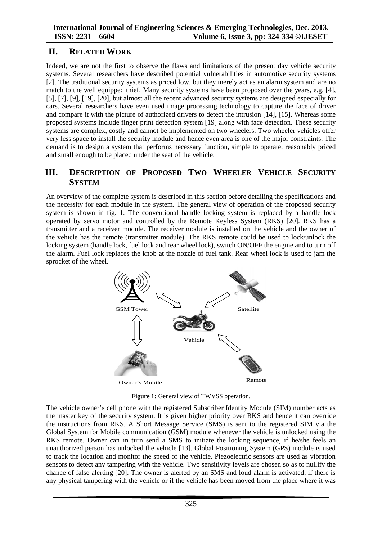## **II. RELATED WORK**

Indeed, we are not the first to observe the flaws and limitations of the present day vehicle security systems. Several researchers have described potential vulnerabilities in automotive security systems [2]. The traditional security systems as priced low, but they merely act as an alarm system and are no match to the well equipped thief. Many security systems have been proposed over the years, e.g. [4], [5], [7], [9], [19], [20], but almost all the recent advanced security systems are designed especially for cars. Several researchers have even used image processing technology to capture the face of driver and compare it with the picture of authorized drivers to detect the intrusion [14], [15]. Whereas some proposed systems include finger print detection system [19] along with face detection. These security systems are complex, costly and cannot be implemented on two wheelers. Two wheeler vehicles offer very less space to install the security module and hence even area is one of the major constraints. The demand is to design a system that performs necessary function, simple to operate, reasonably priced and small enough to be placed under the seat of the vehicle.

## **III. DESCRIPTION OF PROPOSED TWO WHEELER VEHICLE SECURITY SYSTEM**

An overview of the complete system is described in this section before detailing the specifications and the necessity for each module in the system. The general view of operation of the proposed security system is shown in fig. 1. The conventional handle locking system is replaced by a handle lock operated by servo motor and controlled by the Remote Keyless System (RKS) [20]. RKS has a transmitter and a receiver module. The receiver module is installed on the vehicle and the owner of the vehicle has the remote (transmitter module). The RKS remote could be used to lock/unlock the locking system (handle lock, fuel lock and rear wheel lock), switch ON/OFF the engine and to turn off the alarm. Fuel lock replaces the knob at the nozzle of fuel tank. Rear wheel lock is used to jam the sprocket of the wheel.



**Figure 1:** General view of TWVSS operation.

The vehicle owner's cell phone with the registered Subscriber Identity Module (SIM) number acts as the master key of the security system. It is given higher priority over RKS and hence it can override the instructions from RKS. A Short Message Service (SMS) is sent to the registered SIM via the Global System for Mobile communication (GSM) module whenever the vehicle is unlocked using the RKS remote. Owner can in turn send a SMS to initiate the locking sequence, if he/she feels an unauthorized person has unlocked the vehicle [13]. Global Positioning System (GPS) module is used to track the location and monitor the speed of the vehicle. Piezoelectric sensors are used as vibration sensors to detect any tampering with the vehicle. Two sensitivity levels are chosen so as to nullify the chance of false alerting [20]. The owner is alerted by an SMS and loud alarm is activated, if there is any physical tampering with the vehicle or if the vehicle has been moved from the place where it was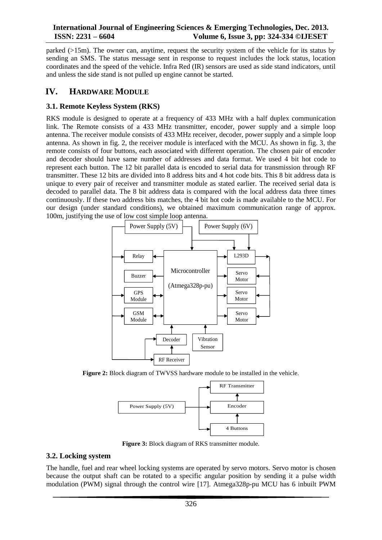parked (>15m). The owner can, anytime, request the security system of the vehicle for its status by sending an SMS. The status message sent in response to request includes the lock status, location coordinates and the speed of the vehicle. Infra Red (IR) sensors are used as side stand indicators, until and unless the side stand is not pulled up engine cannot be started.

## **IV. HARDWARE MODULE**

### **3.1. Remote Keyless System (RKS)**

RKS module is designed to operate at a frequency of 433 MHz with a half duplex communication link. The Remote consists of a 433 MHz transmitter, encoder, power supply and a simple loop antenna. The receiver module consists of 433 MHz receiver, decoder, power supply and a simple loop antenna. As shown in fig. 2, the receiver module is interfaced with the MCU. As shown in fig. 3, the remote consists of four buttons, each associated with different operation. The chosen pair of encoder and decoder should have same number of addresses and data format. We used 4 bit hot code to represent each button. The 12 bit parallel data is encoded to serial data for transmission through RF transmitter. These 12 bits are divided into 8 address bits and 4 hot code bits. This 8 bit address data is unique to every pair of receiver and transmitter module as stated earlier. The received serial data is decoded to parallel data. The 8 bit address data is compared with the local address data three times continuously. If these two address bits matches, the 4 bit hot code is made available to the MCU. For our design (under standard conditions), we obtained maximum communication range of approx. 100m, justifying the use of low cost simple loop antenna.



**Figure 2:** Block diagram of TWVSS hardware module to be installed in the vehicle.



**Figure 3:** Block diagram of RKS transmitter module.

#### **3.2. Locking system**

The handle, fuel and rear wheel locking systems are operated by servo motors. Servo motor is chosen because the output shaft can be rotated to a specific angular position by sending it a pulse width modulation (PWM) signal through the control wire [17]. Atmega328p-pu MCU has 6 inbuilt PWM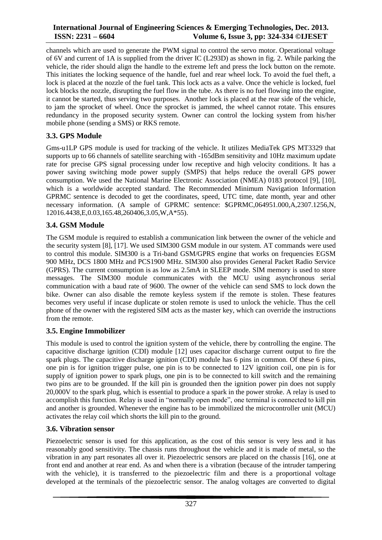channels which are used to generate the PWM signal to control the servo motor. Operational voltage of 6V and current of 1A is supplied from the driver IC (L293D) as shown in fig. 2. While parking the vehicle, the rider should align the handle to the extreme left and press the lock button on the remote. This initiates the locking sequence of the handle, fuel and rear wheel lock. To avoid the fuel theft, a lock is placed at the nozzle of the fuel tank. This lock acts as a valve. Once the vehicle is locked, fuel lock blocks the nozzle, disrupting the fuel flow in the tube. As there is no fuel flowing into the engine, it cannot be started, thus serving two purposes. Another lock is placed at the rear side of the vehicle, to jam the sprocket of wheel. Once the sprocket is jammed, the wheel cannot rotate. This ensures redundancy in the proposed security system. Owner can control the locking system from his/her mobile phone (sending a SMS) or RKS remote.

### **3.3. GPS Module**

Gms-u1LP GPS module is used for tracking of the vehicle. It utilizes MediaTek GPS MT3329 that supports up to 66 channels of satellite searching with -165dBm sensitivity and 10Hz maximum update rate for precise GPS signal processing under low receptive and high velocity conditions. It has a power saving switching mode power supply (SMPS) that helps reduce the overall GPS power consumption. We used the National Marine Electronic Association (NMEA) 0183 protocol [9], [10], which is a worldwide accepted standard. The Recommended Minimum Navigation Information GPRMC sentence is decoded to get the coordinates, speed, UTC time, date month, year and other necessary information. (A sample of GPRMC sentence: \$GPRMC,064951.000,A,2307.1256,N, 12016.4438,E,0.03,165.48,260406,3.05,W,A\*55).

### **3.4. GSM Module**

The GSM module is required to establish a communication link between the owner of the vehicle and the security system [8], [17]. We used SIM300 GSM module in our system. AT commands were used to control this module. SIM300 is a Tri-band GSM/GPRS engine that works on frequencies EGSM 900 MHz, DCS 1800 MHz and PCS1900 MHz. SIM300 also provides General Packet Radio Service (GPRS). The current consumption is as low as 2.5mA in SLEEP mode. SIM memory is used to store messages. The SIM300 module communicates with the MCU using asynchronous serial communication with a baud rate of 9600. The owner of the vehicle can send SMS to lock down the bike. Owner can also disable the remote keyless system if the remote is stolen. These features becomes very useful if incase duplicate or stolen remote is used to unlock the vehicle. Thus the cell phone of the owner with the registered SIM acts as the master key, which can override the instructions from the remote.

# **3.5. Engine Immobilizer**

This module is used to control the ignition system of the vehicle, there by controlling the engine. The capacitive discharge ignition (CDI) module [12] uses [capacitor](http://en.wikipedia.org/wiki/Capacitor) discharge [current](http://en.wikipedia.org/wiki/Current_%28electricity%29) output to fire the [spark plugs.](http://en.wikipedia.org/wiki/Spark_plug) The capacitive discharge ignition (CDI) module has 6 pins in common. Of these 6 pins, one pin is for ignition trigger pulse, one pin is to be connected to 12V ignition coil, one pin is for supply of ignition power to spark plugs, one pin is to be connected to kill switch and the remaining two pins are to be grounded. If the kill pin is grounded then the ignition power pin does not supply 20,000V to the spark plug, which is essential to produce a spark in the power stroke. A relay is used to accomplish this function. Relay is used in "normally open mode", one terminal is connected to kill pin and another is grounded. Whenever the engine has to be immobilized the microcontroller unit (MCU) activates the relay coil which shorts the kill pin to the ground.

### **3.6. Vibration sensor**

Piezoelectric sensor is used for this application, as the cost of this sensor is very less and it has reasonably good sensitivity. The chassis runs throughout the vehicle and it is made of metal, so the vibration in any part resonates all over it. Piezoelectric sensors are placed on the chassis [16], one at front end and another at rear end. As and when there is a vibration (because of the intruder tampering with the vehicle), it is transferred to the piezoelectric film and there is a proportional voltage developed at the terminals of the piezoelectric sensor. The analog voltages are converted to digital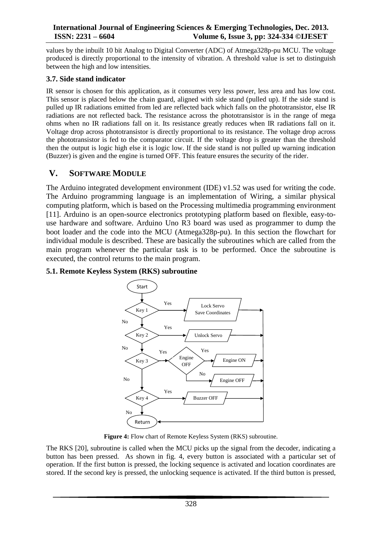values by the inbuilt 10 bit Analog to Digital Converter (ADC) of Atmega328p-pu MCU. The voltage produced is directly proportional to the intensity of vibration. A threshold value is set to distinguish between the high and low intensities.

### **3.7. Side stand indicator**

IR sensor is chosen for this application, as it consumes very less power, less area and has low cost. This sensor is placed below the chain guard, aligned with side stand (pulled up). If the side stand is pulled up IR radiations emitted from led are reflected back which falls on the phototransistor, else IR radiations are not reflected back. The resistance across the phototransistor is in the range of mega ohms when no IR radiations fall on it. Its resistance greatly reduces when IR radiations fall on it. Voltage drop across phototransistor is directly proportional to its resistance. The voltage drop across the phototransistor is fed to the comparator circuit. If the voltage drop is greater than the threshold then the output is logic high else it is logic low. If the side stand is not pulled up warning indication (Buzzer) is given and the engine is turned OFF. This feature ensures the security of the rider.

### **V. SOFTWARE MODULE**

The Arduino integrated development environment (IDE) v1.52 was used for writing the code. The Arduino programming language is an implementation of Wiring, a similar physical computing platform, which is based on the Processing multimedia programming environment [11]. Arduino is an open-source electronics prototyping platform based on flexible, easy-touse hardware and software. Arduino Uno R3 board was used as programmer to dump the boot loader and the code into the MCU (Atmega328p-pu). In this section the flowchart for individual module is described. These are basically the subroutines which are called from the main program whenever the particular task is to be performed. Once the subroutine is executed, the control returns to the main program.

### **5.1. Remote Keyless System (RKS) subroutine**



**Figure 4:** Flow chart of Remote Keyless System (RKS) subroutine.

The RKS [20], subroutine is called when the MCU picks up the signal from the decoder, indicating a button has been pressed. As shown in fig. 4, every button is associated with a particular set of operation. If the first button is pressed, the locking sequence is activated and location coordinates are stored. If the second key is pressed, the unlocking sequence is activated. If the third button is pressed,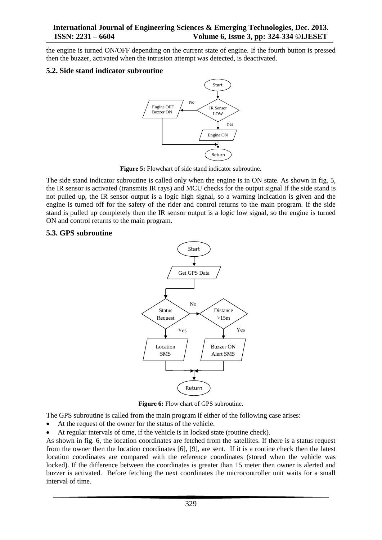the engine is turned ON/OFF depending on the current state of engine. If the fourth button is pressed then the buzzer, activated when the intrusion attempt was detected, is deactivated.

#### **5.2. Side stand indicator subroutine**



**Figure 5:** Flowchart of side stand indicator subroutine.

The side stand indicator subroutine is called only when the engine is in ON state. As shown in fig. 5, the IR sensor is activated (transmits IR rays) and MCU checks for the output signal If the side stand is not pulled up, the IR sensor output is a logic high signal, so a warning indication is given and the engine is turned off for the safety of the rider and control returns to the main program. If the side stand is pulled up completely then the IR sensor output is a logic low signal, so the engine is turned ON and control returns to the main program.

#### **5.3. GPS subroutine**



**Figure 6:** Flow chart of GPS subroutine.

The GPS subroutine is called from the main program if either of the following case arises:

- At the request of the owner for the status of the vehicle.
- At regular intervals of time, if the vehicle is in locked state (routine check).

As shown in fig. 6, the location coordinates are fetched from the satellites. If there is a status request from the owner then the location coordinates [6], [9], are sent. If it is a routine check then the latest location coordinates are compared with the reference coordinates (stored when the vehicle was locked). If the difference between the coordinates is greater than 15 meter then owner is alerted and buzzer is activated. Before fetching the next coordinates the microcontroller unit waits for a small interval of time.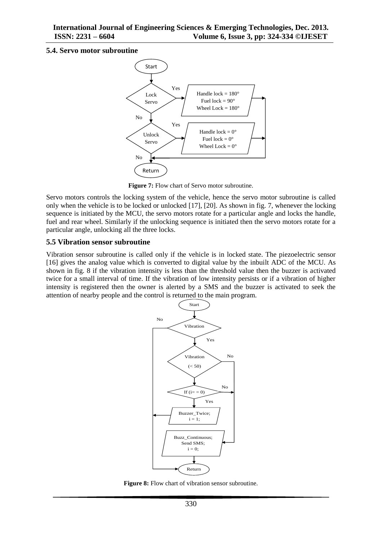#### **5.4. Servo motor subroutine**



**Figure 7:** Flow chart of Servo motor subroutine.

Servo motors controls the locking system of the vehicle, hence the servo motor subroutine is called only when the vehicle is to be locked or unlocked [17], [20]. As shown in fig. 7, whenever the locking sequence is initiated by the MCU, the servo motors rotate for a particular angle and locks the handle, fuel and rear wheel. Similarly if the unlocking sequence is initiated then the servo motors rotate for a particular angle, unlocking all the three locks.

#### **5.5 Vibration sensor subroutine**

Vibration sensor subroutine is called only if the vehicle is in locked state. The piezoelectric sensor [16] gives the analog value which is converted to digital value by the inbuilt ADC of the MCU. As shown in fig. 8 if the vibration intensity is less than the threshold value then the buzzer is activated twice for a small interval of time. If the vibration of low intensity persists or if a vibration of higher intensity is registered then the owner is alerted by a SMS and the buzzer is activated to seek the attention of nearby people and the control is returned to the main program.



**Figure 8:** Flow chart of vibration sensor subroutine.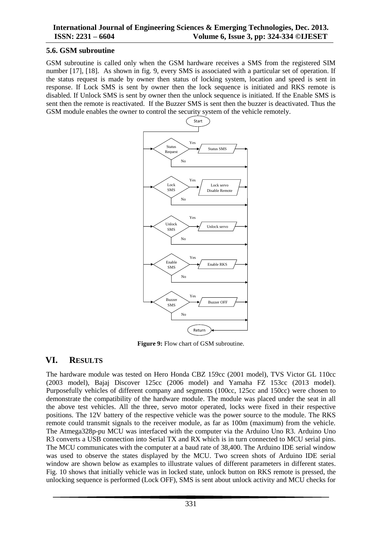#### **5.6. GSM subroutine**

GSM subroutine is called only when the GSM hardware receives a SMS from the registered SIM number [17], [18]. As shown in fig. 9, every SMS is associated with a particular set of operation. If the status request is made by owner then status of locking system, location and speed is sent in response. If Lock SMS is sent by owner then the lock sequence is initiated and RKS remote is disabled. If Unlock SMS is sent by owner then the unlock sequence is initiated. If the Enable SMS is sent then the remote is reactivated. If the Buzzer SMS is sent then the buzzer is deactivated. Thus the GSM module enables the owner to control the security system of the vehicle remotely.



**Figure 9:** Flow chart of GSM subroutine.

# **VI. RESULTS**

The hardware module was tested on Hero Honda CBZ 159cc (2001 model), TVS Victor GL 110cc (2003 model), Bajaj Discover 125cc (2006 model) and Yamaha FZ 153cc (2013 model). Purposefully vehicles of different company and segments (100cc, 125cc and 150cc) were chosen to demonstrate the compatibility of the hardware module. The module was placed under the seat in all the above test vehicles. All the three, servo motor operated, locks were fixed in their respective positions. The 12V battery of the respective vehicle was the power source to the module. The RKS remote could transmit signals to the receiver module, as far as 100m (maximum) from the vehicle. The Atmega328p-pu MCU was interfaced with the computer via the Arduino Uno R3. Arduino Uno R3 converts a USB connection into Serial TX and RX which is in turn connected to MCU serial pins. The MCU communicates with the computer at a baud rate of 38,400. The Arduino IDE serial window was used to observe the states displayed by the MCU. Two screen shots of Arduino IDE serial window are shown below as examples to illustrate values of different parameters in different states. Fig. 10 shows that initially vehicle was in locked state, unlock button on RKS remote is pressed, the unlocking sequence is performed (Lock OFF), SMS is sent about unlock activity and MCU checks for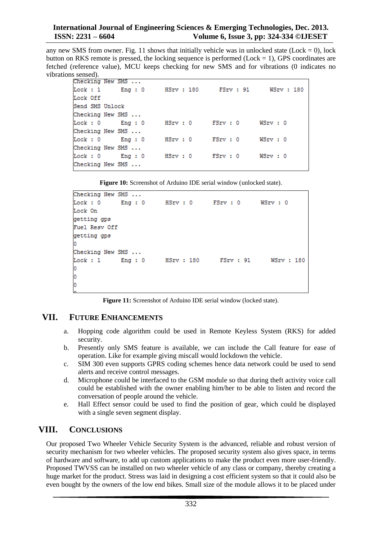any new SMS from owner. Fig. 11 shows that initially vehicle was in unlocked state (Lock = 0), lock button on RKS remote is pressed, the locking sequence is performed (Lock  $= 1$ ), GPS coordinates are fetched (reference value), MCU keeps checking for new SMS and for vibrations (0 indicates no vibrations sensed).

| Checking New SMS   |                    |                              |  |  |  |  |  |  |
|--------------------|--------------------|------------------------------|--|--|--|--|--|--|
|                    | $Lock: 1$ $Eng: 0$ | HSrv: 180 FSrv: 91 WSrv: 180 |  |  |  |  |  |  |
| Lock Off           |                    |                              |  |  |  |  |  |  |
| Send SMS Unlock    |                    |                              |  |  |  |  |  |  |
| Checking New SMS   |                    |                              |  |  |  |  |  |  |
|                    | $Lock: 0$ $Eng: 0$ | HSrv: 0 FSrv: 0 WSrv: 0      |  |  |  |  |  |  |
| Checking New SMS   |                    |                              |  |  |  |  |  |  |
| $Lock: 0$ $Enq: 0$ |                    | HSrv: 0 FSrv: 0 WSrv: 0      |  |  |  |  |  |  |
| Checking New SMS   |                    |                              |  |  |  |  |  |  |
|                    | $Lock: 0$ $Eng: 0$ | HSrv: 0 FSrv: 0 WSrv: 0      |  |  |  |  |  |  |
| Checking New SMS   |                    |                              |  |  |  |  |  |  |

**Figure 10:** Screenshot of Arduino IDE serial window (unlocked state).

```
Checking New SMS ...
Lock: 0Eng: 0HSrv: 0
                                         FSrv: 0
                                                       WSrv: 0
Lock On
getting gps
Fuel Resv Off
getting gps
Checking New SMS ...
                          HSrv : 180
                                                          WSrv : 180
Lock : 1Eng: 0FSTV : 91d
d
ò
```
**Figure 11:** Screenshot of Arduino IDE serial window (locked state).

# **VII. FUTURE ENHANCEMENTS**

- a. Hopping code algorithm could be used in Remote Keyless System (RKS) for added security.
- b. Presently only SMS feature is available, we can include the Call feature for ease of operation. Like for example giving miscall would lockdown the vehicle.
- c. SIM 300 even supports GPRS coding schemes hence data network could be used to send alerts and receive control messages.
- d. Microphone could be interfaced to the GSM module so that during theft activity voice call could be established with the owner enabling him/her to be able to listen and record the conversation of people around the vehicle.
- e. Hall Effect sensor could be used to find the position of gear, which could be displayed with a single seven segment display.

# **VIII. CONCLUSIONS**

Our proposed Two Wheeler Vehicle Security System is the advanced, reliable and robust version of security mechanism for two wheeler vehicles. The proposed security system also gives space, in terms of hardware and software, to add up custom applications to make the product even more user-friendly. Proposed TWVSS can be installed on two wheeler vehicle of any class or company, thereby creating a huge market for the product. Stress was laid in designing a cost efficient system so that it could also be even bought by the owners of the low end bikes. Small size of the module allows it to be placed under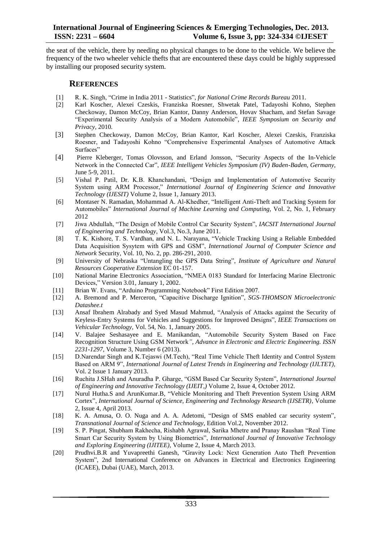the seat of the vehicle, there by needing no physical changes to be done to the vehicle. We believe the frequency of the two wheeler vehicle thefts that are encountered these days could be highly suppressed by installing our proposed security system.

#### **REFERENCES**

- [1] R. K. Singh, "Crime in India 2011 Statistics", *for National Crime Records Bureau* 2011.
- [2] Karl Koscher, Alexei Czeskis, Franziska Roesner, Shwetak Patel, Tadayoshi Kohno, Stephen Checkoway, Damon McCoy, Brian Kantor, Danny Anderson, Hovav Shacham, and Stefan Savage "Experimental Security Analysis of a Modern Automobile", *IEEE Symposium on Security and Privacy,* 2010.
- [3] Stephen Checkoway, Damon McCoy, Brian Kantor, Karl Koscher, Alexei Czeskis, Franziska Roesner, and Tadayoshi Kohno "Comprehensive Experimental Analyses of Automotive Attack Surfaces"
- [4] Pierre Kleberger, Tomas Olovsson, and Erland Jonsson, "Security Aspects of the In-Vehicle Network in the Connected Car", *IEEE Intelligent Vehicles Symposium (IV) Baden-Baden, Germany,*  June 5-9, 2011.
- [5] Vishal P. Patil, Dr. K.B. Khanchandani, "Design and Implementation of Automotive Security System using ARM Processor," *International Journal of Engineering Science and Innovative Technology (IJESIT)* Volume 2, Issue 1, January 2013.
- [6] Montaser N. Ramadan, Mohammad A. Al-Khedher, "Intelligent Anti-Theft and Tracking System for Automobiles" *International Journal of Machine Learning and Computing,* Vol. 2, No. 1, February 2012
- [7] Jiwa Abdullah, "The Design of Mobile Control Car Security System", *IACSIT International Journal of Engineering and Technology,* Vol.3, No.3, June 2011.
- [8] T. K. Kishore, T. S. Vardhan, and N. L. Narayana, "Vehicle Tracking Using a Reliable Embedded Data Acquisition Sysytem with GPS and GSM", *International Journal of Computer Science and Network* Security, Vol. 10, No. 2, pp. 286-291, 2010.
- [9] University of Nebraska "Untangling the GPS Data String", *Institute of Agriculture and Natural Resources Cooperative Extension* EC 01-157.
- [10] National Marine Electronics Association, "NMEA 0183 Standard for Interfacing Marine Electronic Devices," Version 3.01, January 1, 2002.
- [11] Brian W. Evans, "Arduino Programming Notebook" First Edition 2007.
- [12] A. Bremond and P. Merceron, "Capacitive Discharge Ignition", *SGS-THOMSON Microelectronic Datashee.t*
- [13] Ansaf Ibrahem Alrabady and Syed Masud Mahmud, "Analysis of Attacks against the Security of Keyless-Entry Systems for Vehicles and Suggestions for Improved Designs", *IEEE Transactions on Vehicular Technology,* Vol. 54, No. 1, January 2005.
- [14] V. Balajee Seshasayee and E. Manikandan, "Automobile Security System Based on Face Recognition Structure Using GSM Network*", Advance in Electronic and Electric Engineering. ISSN 2231-1297,* Volume 3, Number 6 (2013).
- [15] D.Narendar Singh and K.Tejaswi (M.Tech), "Real Time Vehicle Theft Identity and Control System Based on ARM 9", *International Journal of Latest Trends in Engineering and Technology (IJLTET),*  Vol. 2 Issue 1 January 2013.
- [16] Ruchita J.SHah and Anuradha P. Gharge, "GSM Based Car Security System", *International Journal of Engineering and Innovative Technology (IJEIT,)* Volume 2, Issue 4, October 2012.
- [17] Nurul Hutha.S and ArunKumar.B, "Vehicle Monitoring and Theft Prevention System Using ARM Cortex", *International Journal of Science, Engineering and Technology Research (IJSETR),* Volume 2, Issue 4, April 2013.
- [18] K. A. Amusa, O. O. Nuga and A. A. Adetomi, "Design of SMS enabled car security system", *Transnational Journal of Science and Technology,* Edition Vol.2, November 2012.
- [19] S. P. Pingat, Shubham Rakhecha, Rishabh Agrawal, Sarika Mhetre and Pranay Raushan "Real Time Smart Car Security System by Using Biometrics", *International Journal of Innovative Technology and Exploring Engineering (IJITEE),* Volume 2, Issue 4, March 2013.
- [20] Prudhvi.B.R and Yuvapreethi Ganesh, "Gravity Lock: Next Generation Auto Theft Prevention System", 2nd International Conference on Advances in Electrical and Electronics Engineering (ICAEE), Dubai (UAE), March, 2013.